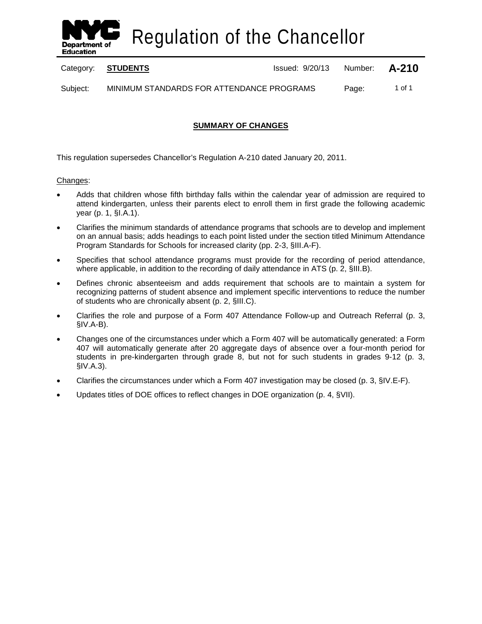

Regulation of the Chancellor

Category: **STUDENTS ISSUE 2018** Issued: 9/20/13 Number: **A-210** 

Subject: MINIMUM STANDARDS FOR ATTENDANCE PROGRAMS Page: 1 of 1

## **SUMMARY OF CHANGES**

This regulation supersedes Chancellor's Regulation A-210 dated January 20, 2011.

### Changes:

- Adds that children whose fifth birthday falls within the calendar year of admission are required to attend kindergarten, unless their parents elect to enroll them in first grade the following academic year (p. 1, §I.A.1).
- Clarifies the minimum standards of attendance programs that schools are to develop and implement on an annual basis; adds headings to each point listed under the section titled Minimum Attendance Program Standards for Schools for increased clarity (pp. 2-3, §III.A-F).
- Specifies that school attendance programs must provide for the recording of period attendance, where applicable, in addition to the recording of daily attendance in ATS (p. 2, §III.B).
- Defines chronic absenteeism and adds requirement that schools are to maintain a system for recognizing patterns of student absence and implement specific interventions to reduce the number of students who are chronically absent (p. 2, §III.C).
- Clarifies the role and purpose of a Form 407 Attendance Follow-up and Outreach Referral (p. 3, §IV.A-B).
- Changes one of the circumstances under which a Form 407 will be automatically generated: a Form 407 will automatically generate after 20 aggregate days of absence over a four-month period for students in pre-kindergarten through grade 8, but not for such students in grades 9-12 (p. 3, §IV.A.3).
- Clarifies the circumstances under which a Form 407 investigation may be closed (p. 3, §IV.E-F).
- Updates titles of DOE offices to reflect changes in DOE organization (p. 4, §VII).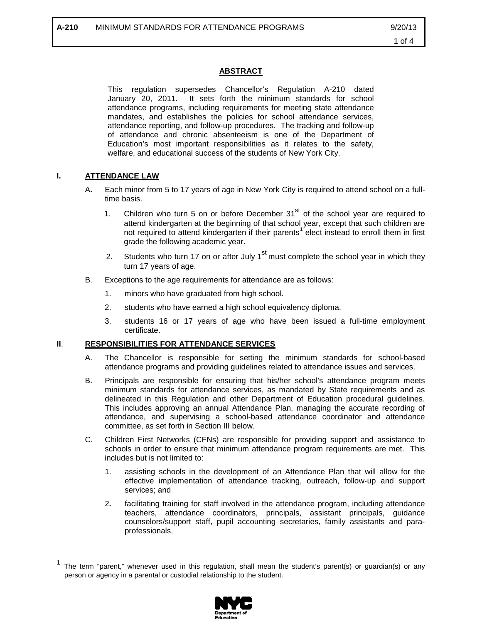#### **ABSTRACT**

This regulation supersedes Chancellor's Regulation A-210 dated January 20, 2011. It sets forth the minimum standards for school attendance programs, including requirements for meeting state attendance mandates, and establishes the policies for school attendance services, attendance reporting, and follow-up procedures. The tracking and follow-up of attendance and chronic absenteeism is one of the Department of Education's most important responsibilities as it relates to the safety, welfare, and educational success of the students of New York City.

### **I. ATTENDANCE LAW**

 $\overline{\phantom{a}}$ 

- A**.** Each minor from 5 to 17 years of age in New York City is required to attend school on a fulltime basis.
	- 1. Children who turn 5 on or before December  $31<sup>st</sup>$  of the school year are required to attend kindergarten at the beginning of that school year, except that such children are not required to attend kindergarten if their parents<sup>[1](#page-1-0)</sup> elect instead to enroll them in first grade the following academic year.
	- 2. Students who turn 17 on or after July 1<sup>st</sup> must complete the school year in which they turn 17 years of age.
- B. Exceptions to the age requirements for attendance are as follows:
	- 1. minors who have graduated from high school.
	- 2. students who have earned a high school equivalency diploma.
	- 3. students 16 or 17 years of age who have been issued a full-time employment certificate.

### **II**. **RESPONSIBILITIES FOR ATTENDANCE SERVICES**

- A. The Chancellor is responsible for setting the minimum standards for school-based attendance programs and providing guidelines related to attendance issues and services.
- B. Principals are responsible for ensuring that his/her school's attendance program meets minimum standards for attendance services, as mandated by State requirements and as delineated in this Regulation and other Department of Education procedural guidelines. This includes approving an annual Attendance Plan, managing the accurate recording of attendance, and supervising a school-based attendance coordinator and attendance committee, as set forth in Section III below.
- C. Children First Networks (CFNs) are responsible for providing support and assistance to schools in order to ensure that minimum attendance program requirements are met. This includes but is not limited to:
	- 1. assisting schools in the development of an Attendance Plan that will allow for the effective implementation of attendance tracking, outreach, follow-up and support services; and
	- 2**.** facilitating training for staff involved in the attendance program, including attendance teachers, attendance coordinators, principals, assistant principals, guidance counselors/support staff, pupil accounting secretaries, family assistants and paraprofessionals.

<span id="page-1-0"></span>The term "parent," whenever used in this regulation, shall mean the student's parent(s) or guardian(s) or any person or agency in a parental or custodial relationship to the student.

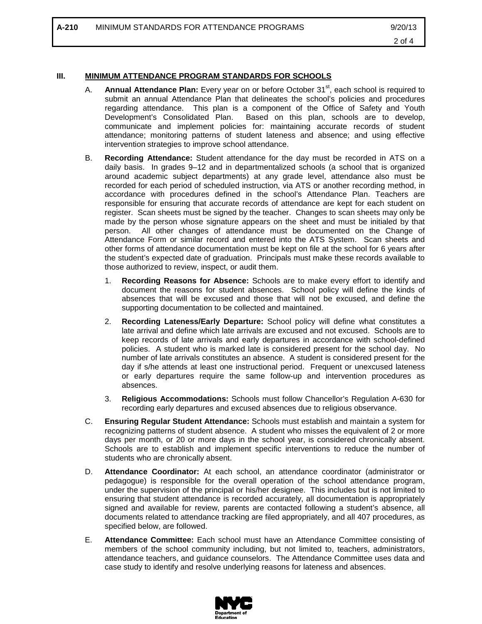**A-210 MINIMUM STANDARDS FOR ATTENDANCE PROGRAMS 69/20/13** 

## **III. MINIMUM ATTENDANCE PROGRAM STANDARDS FOR SCHOOLS**

- A. **Annual Attendance Plan:** Every year on or before October 31<sup>st</sup>, each school is required to submit an annual Attendance Plan that delineates the school's policies and procedures regarding attendance. This plan is a component of the Office of Safety and Youth Development's Consolidated Plan. Based on this plan, schools are to develop, communicate and implement policies for: maintaining accurate records of student attendance; monitoring patterns of student lateness and absence; and using effective intervention strategies to improve school attendance.
- B. **Recording Attendance:** Student attendance for the day must be recorded in ATS on a daily basis. In grades 9–12 and in departmentalized schools (a school that is organized around academic subject departments) at any grade level, attendance also must be recorded for each period of scheduled instruction, via ATS or another recording method, in accordance with procedures defined in the school's Attendance Plan. Teachers are responsible for ensuring that accurate records of attendance are kept for each student on register. Scan sheets must be signed by the teacher. Changes to scan sheets may only be made by the person whose signature appears on the sheet and must be initialed by that person. All other changes of attendance must be documented on the Change of Attendance Form or similar record and entered into the ATS System. Scan sheets and other forms of attendance documentation must be kept on file at the school for 6 years after the student's expected date of graduation. Principals must make these records available to those authorized to review, inspect, or audit them.
	- 1. **Recording Reasons for Absence:** Schools are to make every effort to identify and document the reasons for student absences. School policy will define the kinds of absences that will be excused and those that will not be excused, and define the supporting documentation to be collected and maintained.
	- 2. **Recording Lateness/Early Departure:** School policy will define what constitutes a late arrival and define which late arrivals are excused and not excused. Schools are to keep records of late arrivals and early departures in accordance with school-defined policies. A student who is marked late is considered present for the school day. No number of late arrivals constitutes an absence. A student is considered present for the day if s/he attends at least one instructional period. Frequent or unexcused lateness or early departures require the same follow-up and intervention procedures as absences.
	- 3. **Religious Accommodations:** Schools must follow Chancellor's Regulation A-630 for recording early departures and excused absences due to religious observance.
- C. **Ensuring Regular Student Attendance:** Schools must establish and maintain a system for recognizing patterns of student absence. A student who misses the equivalent of 2 or more days per month, or 20 or more days in the school year, is considered chronically absent. Schools are to establish and implement specific interventions to reduce the number of students who are chronically absent.
- D. **Attendance Coordinator:** At each school, an attendance coordinator (administrator or pedagogue) is responsible for the overall operation of the school attendance program, under the supervision of the principal or his/her designee. This includes but is not limited to ensuring that student attendance is recorded accurately, all documentation is appropriately signed and available for review, parents are contacted following a student's absence, all documents related to attendance tracking are filed appropriately, and all 407 procedures, as specified below, are followed.
- E. **Attendance Committee:** Each school must have an Attendance Committee consisting of members of the school community including, but not limited to, teachers, administrators, attendance teachers, and guidance counselors. The Attendance Committee uses data and case study to identify and resolve underlying reasons for lateness and absences.

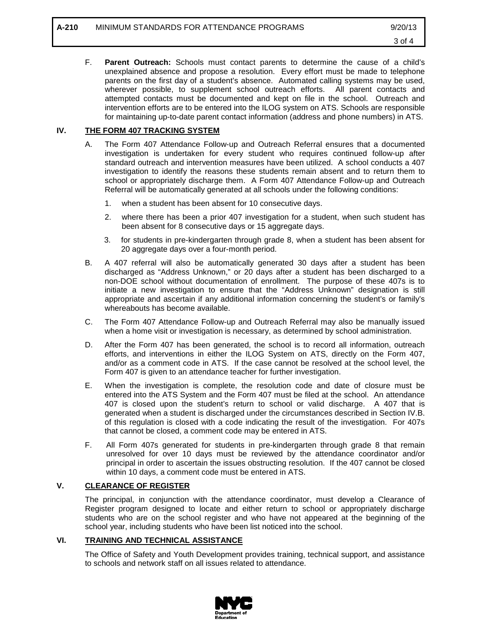F. **Parent Outreach:** Schools must contact parents to determine the cause of a child's unexplained absence and propose a resolution. Every effort must be made to telephone parents on the first day of a student's absence. Automated calling systems may be used, wherever possible, to supplement school outreach efforts. All parent contacts and attempted contacts must be documented and kept on file in the school. Outreach and intervention efforts are to be entered into the ILOG system on ATS. Schools are responsible for maintaining up-to-date parent contact information (address and phone numbers) in ATS.

### **IV. THE FORM 407 TRACKING SYSTEM**

- A. The Form 407 Attendance Follow-up and Outreach Referral ensures that a documented investigation is undertaken for every student who requires continued follow-up after standard outreach and intervention measures have been utilized. A school conducts a 407 investigation to identify the reasons these students remain absent and to return them to school or appropriately discharge them. A Form 407 Attendance Follow-up and Outreach Referral will be automatically generated at all schools under the following conditions:
	- 1. when a student has been absent for 10 consecutive days.
	- 2. where there has been a prior 407 investigation for a student, when such student has been absent for 8 consecutive days or 15 aggregate days.
	- 3. for students in pre-kindergarten through grade 8, when a student has been absent for 20 aggregate days over a four-month period.
- B. A 407 referral will also be automatically generated 30 days after a student has been discharged as "Address Unknown," or 20 days after a student has been discharged to a non-DOE school without documentation of enrollment. The purpose of these 407s is to initiate a new investigation to ensure that the "Address Unknown" designation is still appropriate and ascertain if any additional information concerning the student's or family's whereabouts has become available.
- C. The Form 407 Attendance Follow-up and Outreach Referral may also be manually issued when a home visit or investigation is necessary, as determined by school administration.
- D. After the Form 407 has been generated, the school is to record all information, outreach efforts, and interventions in either the ILOG System on ATS, directly on the Form 407, and/or as a comment code in ATS. If the case cannot be resolved at the school level, the Form 407 is given to an attendance teacher for further investigation.
- E. When the investigation is complete, the resolution code and date of closure must be entered into the ATS System and the Form 407 must be filed at the school. An attendance 407 is closed upon the student's return to school or valid discharge. A 407 that is generated when a student is discharged under the circumstances described in Section IV.B. of this regulation is closed with a code indicating the result of the investigation. For 407s that cannot be closed, a comment code may be entered in ATS.
- F. All Form 407s generated for students in pre-kindergarten through grade 8 that remain unresolved for over 10 days must be reviewed by the attendance coordinator and/or principal in order to ascertain the issues obstructing resolution. If the 407 cannot be closed within 10 days, a comment code must be entered in ATS.

### **V. CLEARANCE OF REGISTER**

The principal, in conjunction with the attendance coordinator, must develop a Clearance of Register program designed to locate and either return to school or appropriately discharge students who are on the school register and who have not appeared at the beginning of the school year, including students who have been list noticed into the school.

#### **VI. TRAINING AND TECHNICAL ASSISTANCE**

The Office of Safety and Youth Development provides training, technical support, and assistance to schools and network staff on all issues related to attendance.